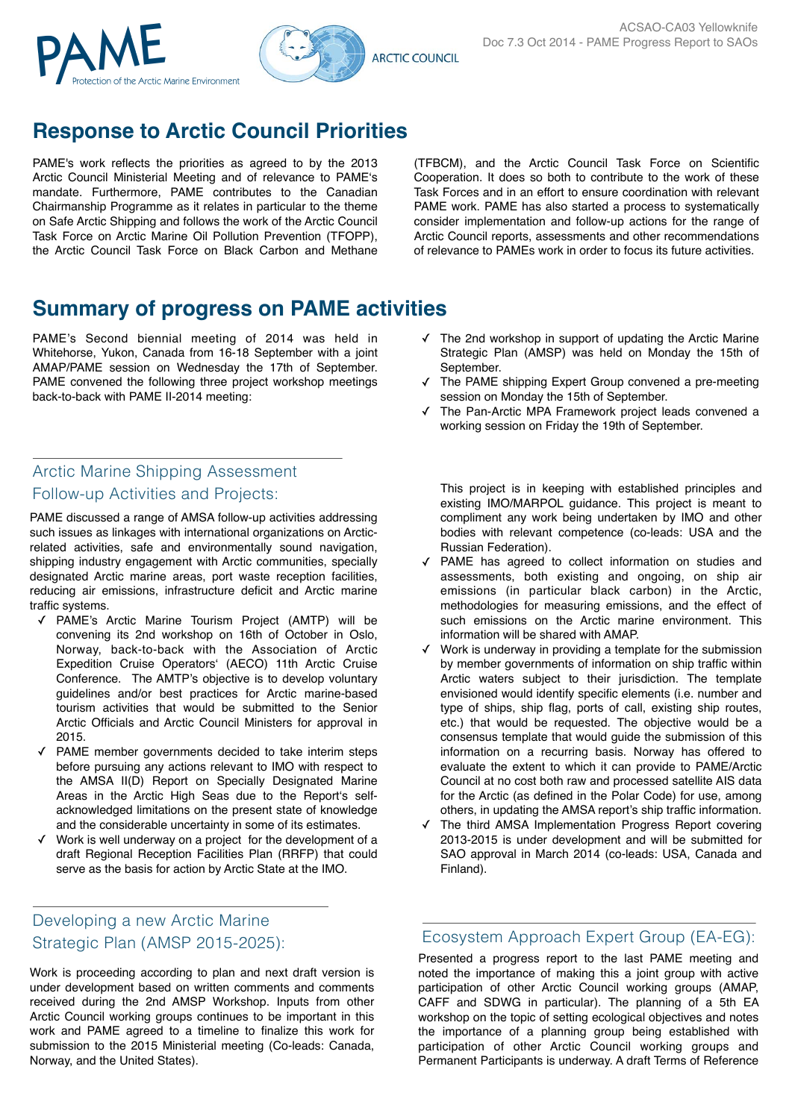



# **Response to Arctic Council Priorities**

PAME's work reflects the priorities as agreed to by the 2013 Arctic Council Ministerial Meeting and of relevance to PAME's mandate. Furthermore, PAME contributes to the Canadian Chairmanship Programme as it relates in particular to the theme on Safe Arctic Shipping and follows the work of the Arctic Council Task Force on Arctic Marine Oil Pollution Prevention (TFOPP), the Arctic Council Task Force on Black Carbon and Methane

(TFBCM), and the Arctic Council Task Force on Scientific Cooperation. It does so both to contribute to the work of these Task Forces and in an effort to ensure coordination with relevant PAME work. PAME has also started a process to systematically consider implementation and follow-up actions for the range of Arctic Council reports, assessments and other recommendations of relevance to PAMEs work in order to focus its future activities.

## **Summary of progress on PAME activities**

PAME's Second biennial meeting of 2014 was held in Whitehorse, Yukon, Canada from 16-18 September with a joint AMAP/PAME session on Wednesday the 17th of September. PAME convened the following three project workshop meetings back-to-back with PAME II-2014 meeting:

### Arctic Marine Shipping Assessment Follow-up Activities and Projects:

PAME discussed a range of AMSA follow-up activities addressing such issues as linkages with international organizations on Arcticrelated activities, safe and environmentally sound navigation, shipping industry engagement with Arctic communities, specially designated Arctic marine areas, port waste reception facilities, reducing air emissions, infrastructure deficit and Arctic marine traffic systems.

- ✓ PAME's Arctic Marine Tourism Project (AMTP) will be convening its 2nd workshop on 16th of October in Oslo, Norway, back-to-back with the Association of Arctic Expedition Cruise Operators' (AECO) 11th Arctic Cruise Conference. The AMTP's objective is to develop voluntary guidelines and/or best practices for Arctic marine-based tourism activities that would be submitted to the Senior Arctic Officials and Arctic Council Ministers for approval in 2015.
- ✓ PAME member governments decided to take interim steps before pursuing any actions relevant to IMO with respect to the AMSA II(D) Report on Specially Designated Marine Areas in the Arctic High Seas due to the Report's selfacknowledged limitations on the present state of knowledge and the considerable uncertainty in some of its estimates.
- ✓ Work is well underway on a project for the development of a draft Regional Reception Facilities Plan (RRFP) that could serve as the basis for action by Arctic State at the IMO.

### Developing a new Arctic Marine Strategic Plan (AMSP 2015-2025):

Work is proceeding according to plan and next draft version is under development based on written comments and comments received during the 2nd AMSP Workshop. Inputs from other Arctic Council working groups continues to be important in this work and PAME agreed to a timeline to finalize this work for submission to the 2015 Ministerial meeting (Co-leads: Canada, Norway, and the United States).

- ✓ The 2nd workshop in support of updating the Arctic Marine Strategic Plan (AMSP) was held on Monday the 15th of September.
- ✓ The PAME shipping Expert Group convened a pre-meeting session on Monday the 15th of September.
- The Pan-Arctic MPA Framework project leads convened a working session on Friday the 19th of September.

This project is in keeping with established principles and existing IMO/MARPOL guidance. This project is meant to compliment any work being undertaken by IMO and other bodies with relevant competence (co-leads: USA and the Russian Federation).

- ✓ PAME has agreed to collect information on studies and assessments, both existing and ongoing, on ship air emissions (in particular black carbon) in the Arctic, methodologies for measuring emissions, and the effect of such emissions on the Arctic marine environment. This information will be shared with AMAP.
- Work is underway in providing a template for the submission by member governments of information on ship traffic within Arctic waters subject to their jurisdiction. The template envisioned would identify specific elements (i.e. number and type of ships, ship flag, ports of call, existing ship routes, etc.) that would be requested. The objective would be a consensus template that would guide the submission of this information on a recurring basis. Norway has offered to evaluate the extent to which it can provide to PAME/Arctic Council at no cost both raw and processed satellite AIS data for the Arctic (as defined in the Polar Code) for use, among others, in updating the AMSA report's ship traffic information.
- The third AMSA Implementation Progress Report covering 2013-2015 is under development and will be submitted for SAO approval in March 2014 (co-leads: USA, Canada and Finland).

### Ecosystem Approach Expert Group (EA-EG):

Presented a progress report to the last PAME meeting and noted the importance of making this a joint group with active participation of other Arctic Council working groups (AMAP, CAFF and SDWG in particular). The planning of a 5th EA workshop on the topic of setting ecological objectives and notes the importance of a planning group being established with participation of other Arctic Council working groups and Permanent Participants is underway. A draft Terms of Reference